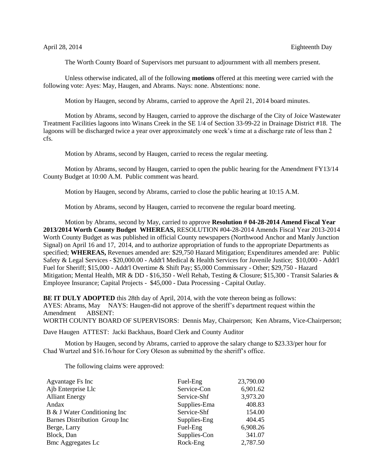The Worth County Board of Supervisors met pursuant to adjournment with all members present.

Unless otherwise indicated, all of the following **motions** offered at this meeting were carried with the following vote: Ayes: May, Haugen, and Abrams. Nays: none. Abstentions: none.

Motion by Haugen, second by Abrams, carried to approve the April 21, 2014 board minutes.

Motion by Abrams, second by Haugen, carried to approve the discharge of the City of Joice Wastewater Treatment Facilities lagoons into Winans Creek in the SE 1/4 of Section 33-99-22 in Drainage District #18. The lagoons will be discharged twice a year over approximately one week's time at a discharge rate of less than 2 cfs.

Motion by Abrams, second by Haugen, carried to recess the regular meeting.

Motion by Abrams, second by Haugen, carried to open the public hearing for the Amendment FY13/14 County Budget at 10:00 A.M. Public comment was heard.

Motion by Haugen, second by Abrams, carried to close the public hearing at 10:15 A.M.

Motion by Abrams, second by Haugen, carried to reconvene the regular board meeting.

Motion by Abrams, second by May, carried to approve **Resolution # 04-28-2014 Amend Fiscal Year 2013/2014 Worth County Budget WHEREAS,** RESOLUTION #04-28-2014 Amends Fiscal Year 2013-2014 Worth County Budget as was published in official County newspapers (Northwood Anchor and Manly Junction Signal) on April 16 and 17, 2014, and to authorize appropriation of funds to the appropriate Departments as specified; **WHEREAS,** Revenues amended are: \$29,750 Hazard Mitigation; Expenditures amended are: Public Safety & Legal Services - \$20,000.00 - Addt'l Medical & Health Services for Juvenile Justice; \$10,000 - Addt'l Fuel for Sheriff; \$15,000 - Addt'l Overtime & Shift Pay; \$5,000 Commissary - Other; \$29,750 - Hazard Mitigation; Mental Health, MR & DD - \$16,350 - Well Rehab, Testing & Closure; \$15,300 - Transit Salaries & Employee Insurance; Capital Projects - \$45,000 - Data Processing - Capital Outlay.

**BE IT DULY ADOPTED** this 28th day of April, 2014, with the vote thereon being as follows: AYES: Abrams, May NAYS: Haugen-did not approve of the sheriff's department request within the Amendment ABSENT: WORTH COUNTY BOARD OF SUPERVISORS: Dennis May, Chairperson; Ken Abrams, Vice-Chairperson;

Dave Haugen ATTEST: Jacki Backhaus, Board Clerk and County Auditor

Motion by Haugen, second by Abrams, carried to approve the salary change to \$23.33/per hour for Chad Wurtzel and \$16.16/hour for Cory Oleson as submitted by the sheriff's office.

The following claims were approved:

| Agvantage Fs Inc              | Fuel-Eng     | 23,790.00 |
|-------------------------------|--------------|-----------|
| Ajb Enterprise Llc            | Service-Con  | 6,901.62  |
| <b>Alliant Energy</b>         | Service-Shf  | 3,973.20  |
| Andax                         | Supplies-Ema | 408.83    |
| B & J Water Conditioning Inc  | Service-Shf  | 154.00    |
| Barnes Distribution Group Inc | Supplies-Eng | 404.45    |
| Berge, Larry                  | Fuel-Eng     | 6,908.26  |
| Block, Dan                    | Supplies-Con | 341.07    |
| <b>Bmc Aggregates Lc</b>      | Rock-Eng     | 2,787.50  |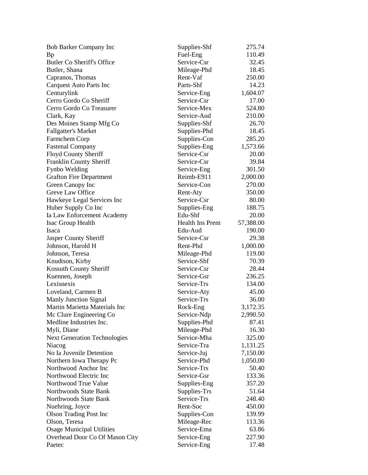| Bob Barker Company Inc              | Supplies-Shf    | 275.74    |
|-------------------------------------|-----------------|-----------|
| Bp                                  | Fuel-Eng        | 110.49    |
| <b>Butler Co Sheriff's Office</b>   | Service-Csr     | 32.45     |
| Butler, Shana                       | Mileage-Phd     | 18.45     |
| Capranos, Thomas                    | Rent-Vaf        | 250.00    |
| Carquest Auto Parts Inc             | Parts-Shf       | 14.23     |
| Centurylink                         | Service-Eng     | 1,604.07  |
| Cerro Gordo Co Sheriff              | Service-Csr     | 17.00     |
| Cerro Gordo Co Treasurer            | Service-Mex     | 524.80    |
| Clark, Kay                          | Service-Aud     | 210.00    |
| Des Moines Stamp Mfg Co             | Supplies-Shf    | 26.70     |
| <b>Fallgatter's Market</b>          | Supplies-Phd    | 18.45     |
| Farmchem Corp                       | Supplies-Con    | 285.20    |
| <b>Fastenal Company</b>             | Supplies-Eng    | 1,573.66  |
| Floyd County Sheriff                | Service-Csr     | 20.00     |
| Franklin County Sheriff             | Service-Csr     | 39.84     |
| Fynbo Welding                       | Service-Eng     | 301.50    |
| <b>Grafton Fire Department</b>      | Reimb-E911      | 2,000.00  |
| Green Canopy Inc                    | Service-Con     | 270.00    |
| Greve Law Office                    | Rent-Aty        | 350.00    |
| Hawkeye Legal Services Inc          | Service-Csr     | 80.00     |
| Huber Supply Co Inc                 | Supplies-Eng    | 188.75    |
| Ia Law Enforcement Academy          | Edu-Shf         | 20.00     |
| Isac Group Health                   | Health Ins Prem | 57,388.00 |
| Isaca                               | Edu-Aud         | 190.00    |
| <b>Jasper County Sheriff</b>        | Service-Csr     | 29.38     |
| Johnson, Harold H                   | Rent-Phd        | 1,000.00  |
| Johnson, Teresa                     | Mileage-Phd     | 119.00    |
| Knudtson, Kirby                     | Service-Shf     | 70.39     |
| Kossuth County Sheriff              | Service-Csr     | 28.44     |
| Kuennen, Joseph                     | Service-Gsr     | 236.25    |
| Lexisnexis                          | Service-Trs     | 134.00    |
| Loveland, Carmen B                  | Service-Aty     | 45.00     |
| <b>Manly Junction Signal</b>        | Service-Trs     | 36.00     |
| Martin Marietta Materials Inc       | Rock-Eng        | 3,172.35  |
| Mc Clure Engineering Co             | Service-Ndp     | 2,990.50  |
| Medline Industries Inc.             | Supplies-Phd    | 87.41     |
| Myli, Diane                         | Mileage-Phd     | 16.30     |
| <b>Next Generation Technologies</b> | Service-Mha     | 325.00    |
| Niacog                              | Service-Tra     | 1,131.25  |
| No Ia Juvenile Detention            | Service-Juj     | 7,150.00  |
| Northern Iowa Therapy Pc            | Service-Phd     | 1,050.00  |
| Northwood Anchor Inc                | Service-Trs     | 50.40     |
| Northwood Electric Inc              | Service-Gsr     | 133.36    |
| Northwood True Value                | Supplies-Eng    | 357.20    |
| Northwoods State Bank               | Supplies-Trs    | 51.64     |
| Northwoods State Bank               | Service-Trs     | 248.40    |
| Nuehring, Joyce                     | Rent-Soc        | 450.00    |
| <b>Olson Trading Post Inc</b>       | Supplies-Con    | 139.99    |
| Olson, Teresa                       | Mileage-Rec     | 113.36    |
| <b>Osage Municipal Utilities</b>    | Service-Ema     | 63.86     |
| Overhead Door Co Of Mason City      | Service-Eng     | 227.90    |
| Paetec                              | Service-Eng     | 17.48     |
|                                     |                 |           |